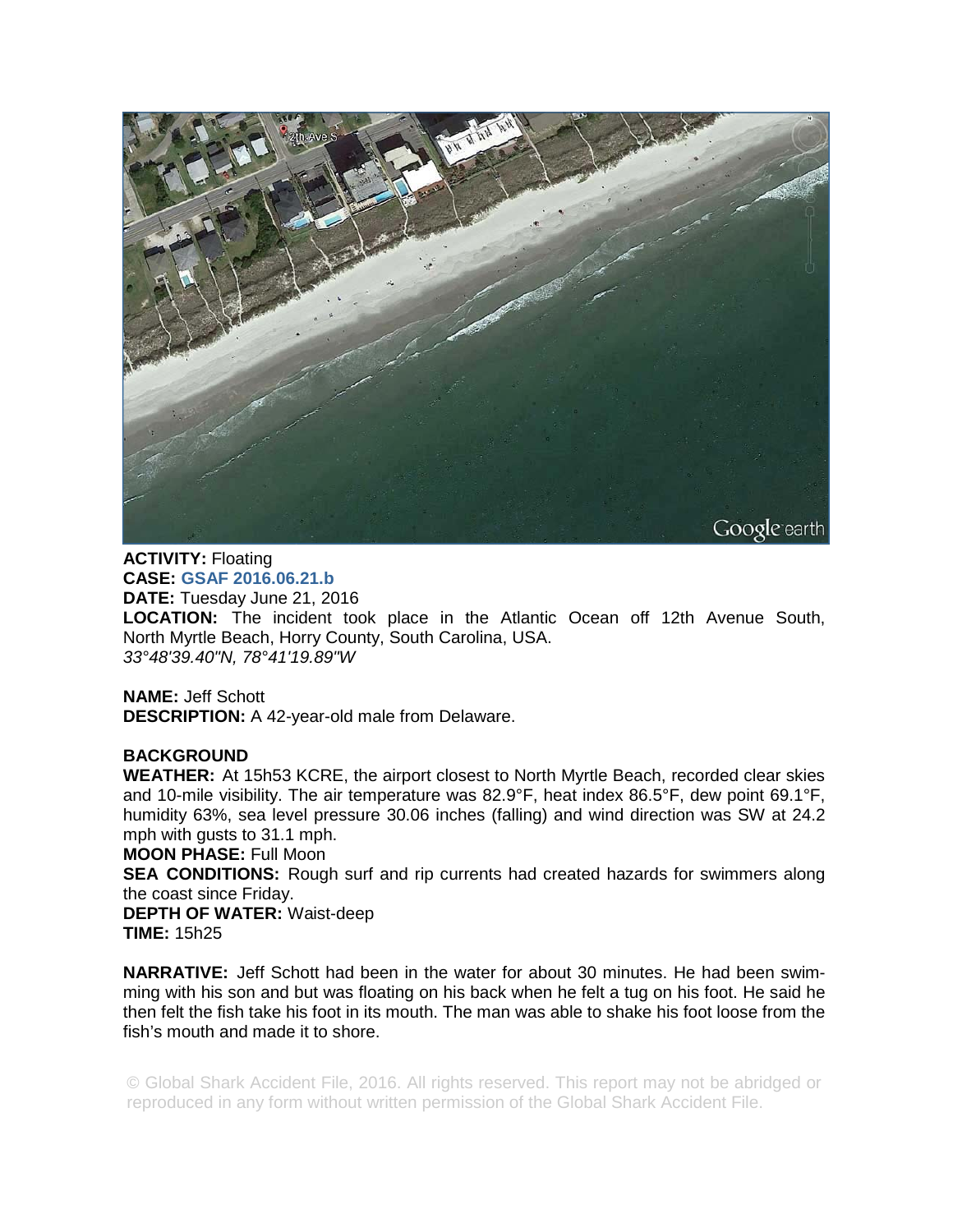

**ACTIVITY:** Floating **CASE: GSAF 2016.06.21.b DATE:** Tuesday June 21, 2016 **LOCATION:** The incident took place in the Atlantic Ocean off 12th Avenue South, North Myrtle Beach, Horry County, South Carolina, USA. *33°48'39.40"N, 78°41'19.89"W* 

**NAME:** Jeff Schott **DESCRIPTION:** A 42-year-old male from Delaware.

## **BACKGROUND**

**WEATHER:** At 15h53 KCRE, the airport closest to North Myrtle Beach, recorded clear skies and 10-mile visibility. The air temperature was 82.9°F, heat index 86.5°F, dew point 69.1°F, humidity 63%, sea level pressure 30.06 inches (falling) and wind direction was SW at 24.2 mph with gusts to 31.1 mph.

**MOON PHASE:** Full Moon

**SEA CONDITIONS:** Rough surf and rip currents had created hazards for swimmers along the coast since Friday.

**DEPTH OF WATER:** Waist-deep **TIME:** 15h25

**NARRATIVE:** Jeff Schott had been in the water for about 30 minutes. He had been swimming with his son and but was floating on his back when he felt a tug on his foot. He said he then felt the fish take his foot in its mouth. The man was able to shake his foot loose from the fish's mouth and made it to shore.

© Global Shark Accident File, 2016. All rights reserved. This report may not be abridged or reproduced in any form without written permission of the Global Shark Accident File.